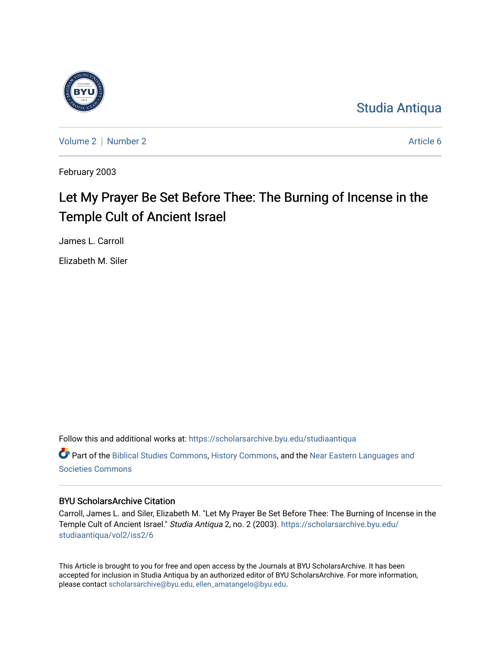

[Studia Antiqua](https://scholarsarchive.byu.edu/studiaantiqua) 

[Volume 2](https://scholarsarchive.byu.edu/studiaantiqua/vol2) [Number 2](https://scholarsarchive.byu.edu/studiaantiqua/vol2/iss2) Article 6

February 2003

# Let My Prayer Be Set Before Thee: The Burning of Incense in the Temple Cult of Ancient Israel

James L. Carroll

Elizabeth M. Siler

Follow this and additional works at: [https://scholarsarchive.byu.edu/studiaantiqua](https://scholarsarchive.byu.edu/studiaantiqua?utm_source=scholarsarchive.byu.edu%2Fstudiaantiqua%2Fvol2%2Fiss2%2F6&utm_medium=PDF&utm_campaign=PDFCoverPages)  Part of the [Biblical Studies Commons,](http://network.bepress.com/hgg/discipline/539?utm_source=scholarsarchive.byu.edu%2Fstudiaantiqua%2Fvol2%2Fiss2%2F6&utm_medium=PDF&utm_campaign=PDFCoverPages) [History Commons,](http://network.bepress.com/hgg/discipline/489?utm_source=scholarsarchive.byu.edu%2Fstudiaantiqua%2Fvol2%2Fiss2%2F6&utm_medium=PDF&utm_campaign=PDFCoverPages) and the [Near Eastern Languages and](http://network.bepress.com/hgg/discipline/484?utm_source=scholarsarchive.byu.edu%2Fstudiaantiqua%2Fvol2%2Fiss2%2F6&utm_medium=PDF&utm_campaign=PDFCoverPages)  [Societies Commons](http://network.bepress.com/hgg/discipline/484?utm_source=scholarsarchive.byu.edu%2Fstudiaantiqua%2Fvol2%2Fiss2%2F6&utm_medium=PDF&utm_campaign=PDFCoverPages)

## BYU ScholarsArchive Citation

Carroll, James L. and Siler, Elizabeth M. "Let My Prayer Be Set Before Thee: The Burning of Incense in the Temple Cult of Ancient Israel." Studia Antiqua 2, no. 2 (2003). [https://scholarsarchive.byu.edu/](https://scholarsarchive.byu.edu/studiaantiqua/vol2/iss2/6?utm_source=scholarsarchive.byu.edu%2Fstudiaantiqua%2Fvol2%2Fiss2%2F6&utm_medium=PDF&utm_campaign=PDFCoverPages) [studiaantiqua/vol2/iss2/6](https://scholarsarchive.byu.edu/studiaantiqua/vol2/iss2/6?utm_source=scholarsarchive.byu.edu%2Fstudiaantiqua%2Fvol2%2Fiss2%2F6&utm_medium=PDF&utm_campaign=PDFCoverPages) 

This Article is brought to you for free and open access by the Journals at BYU ScholarsArchive. It has been accepted for inclusion in Studia Antiqua by an authorized editor of BYU ScholarsArchive. For more information, please contact [scholarsarchive@byu.edu, ellen\\_amatangelo@byu.edu.](mailto:scholarsarchive@byu.edu,%20ellen_amatangelo@byu.edu)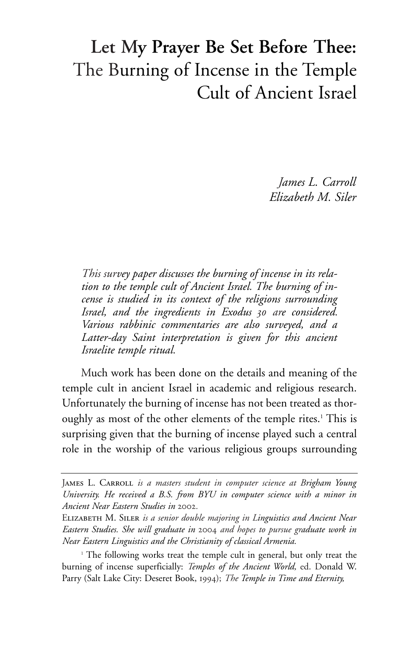## **Let My Prayer Be Set Before Thee:** The Burning of Incense in the Temple Cult of Ancient Israel

*James L. Carroll Elizabeth M. Siler*

*This survey paper discusses the burning of incense in its relation to the temple cult of Ancient Israel. The burning of incense is studied in its context of the religions surrounding Israel, and the ingredients in Exodus 30 are considered. Various rabbinic commentaries are also surveyed, and a Latter-day Saint interpretation is given for this ancient Israelite temple ritual.*

Much work has been done on the details and meaning of the temple cult in ancient Israel in academic and religious research. Unfortunately the burning of incense has not been treated as thoroughly as most of the other elements of the temple rites.<sup>1</sup> This is surprising given that the burning of incense played such a central role in the worship of the various religious groups surrounding

JAMES L. CARROLL *is a masters student in computer science at Brigham Young University. He received a B.S. from BYU in computer science with a minor in Ancient Near Eastern Studies in* 2002*.*

Elizabeth M. Siler *is a senior double majoring in Linguistics and Ancient Near Eastern Studies. She will graduate in* 2004 *and hopes to pursue graduate work in Near Eastern Linguistics and the Christianity of classical Armenia.*

<sup>&</sup>lt;sup>1</sup> The following works treat the temple cult in general, but only treat the burning of incense superficially: *Temples of the Ancient World,* ed. Donald W. Parry (Salt Lake City: Deseret Book, 1994); *The Temple in Time and Eternity,*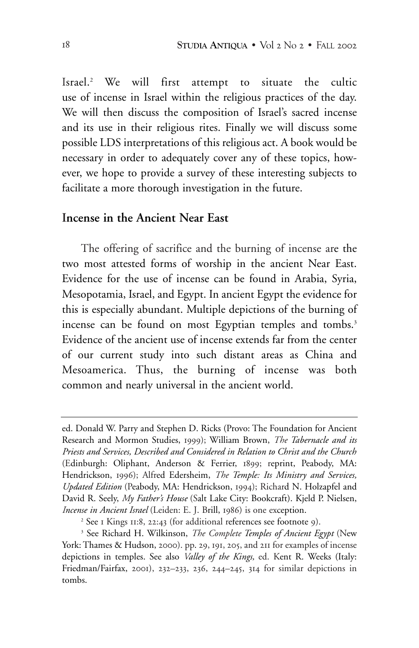Israel.2 We will first attempt to situate the cultic use of incense in Israel within the religious practices of the day. We will then discuss the composition of Israel's sacred incense and its use in their religious rites. Finally we will discuss some possible LDS interpretations of this religious act. A book would be necessary in order to adequately cover any of these topics, however, we hope to provide a survey of these interesting subjects to facilitate a more thorough investigation in the future.

## **Incense in the Ancient Near East**

The offering of sacrifice and the burning of incense are the two most attested forms of worship in the ancient Near East. Evidence for the use of incense can be found in Arabia, Syria, Mesopotamia, Israel, and Egypt. In ancient Egypt the evidence for this is especially abundant. Multiple depictions of the burning of incense can be found on most Egyptian temples and tombs.<sup>3</sup> Evidence of the ancient use of incense extends far from the center of our current study into such distant areas as China and Mesoamerica. Thus, the burning of incense was both common and nearly universal in the ancient world.

ed. Donald W. Parry and Stephen D. Ricks (Provo: The Foundation for Ancient Research and Mormon Studies, 1999); William Brown, *The Tabernacle and its Priests and Services, Described and Considered in Relation to Christ and the Church* (Edinburgh: Oliphant, Anderson & Ferrier, 1899; reprint, Peabody, MA: Hendrickson, 1996); Alfred Edersheim, *The Temple: Its Ministry and Services, Updated Edition* (Peabody, MA: Hendrickson, 1994); Richard N. Holzapfel and David R. Seely, *My Father's House* (Salt Lake City: Bookcraft). Kjeld P. Nielsen, *Incense in Ancient Israel* (Leiden: E. J. Brill, 1986) is one exception.

<sup>2</sup> See 1 Kings 11:8, 22:43 (for additional references see footnote 9).

<sup>3</sup> See Richard H. Wilkinson, *The Complete Temples of Ancient Egypt* (New York: Thames & Hudson, 2000). pp. 29, 191, 205, and 211 for examples of incense depictions in temples. See also *Valley of the Kings,* ed. Kent R. Weeks (Italy: Friedman/Fairfax, 2001), 232–233, 236, 244–245, 314 for similar depictions in tombs.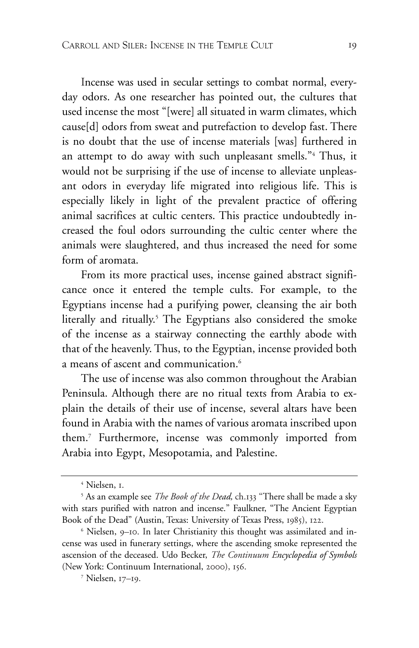Incense was used in secular settings to combat normal, everyday odors. As one researcher has pointed out, the cultures that used incense the most "[were] all situated in warm climates, which cause[d] odors from sweat and putrefaction to develop fast. There is no doubt that the use of incense materials [was] furthered in an attempt to do away with such unpleasant smells."4 Thus, it would not be surprising if the use of incense to alleviate unpleasant odors in everyday life migrated into religious life. This is especially likely in light of the prevalent practice of offering animal sacrifices at cultic centers. This practice undoubtedly increased the foul odors surrounding the cultic center where the animals were slaughtered, and thus increased the need for some form of aromata.

From its more practical uses, incense gained abstract significance once it entered the temple cults. For example, to the Egyptians incense had a purifying power, cleansing the air both literally and ritually.<sup>5</sup> The Egyptians also considered the smoke of the incense as a stairway connecting the earthly abode with that of the heavenly. Thus, to the Egyptian, incense provided both a means of ascent and communication.<sup>6</sup>

The use of incense was also common throughout the Arabian Peninsula. Although there are no ritual texts from Arabia to explain the details of their use of incense, several altars have been found in Arabia with the names of various aromata inscribed upon them.7 Furthermore, incense was commonly imported from Arabia into Egypt, Mesopotamia, and Palestine.

<sup>4</sup> Nielsen, 1.

<sup>5</sup> As an example see *The Book of the Dead,* ch.133 "There shall be made a sky with stars purified with natron and incense." Faulkner, "The Ancient Egyptian Book of the Dead" (Austin, Texas: University of Texas Press, 1985), 122.

<sup>6</sup> Nielsen, 9–10. In later Christianity this thought was assimilated and incense was used in funerary settings, where the ascending smoke represented the ascension of the deceased. Udo Becker, *The Continuum Encyclopedia of Symbols* (New York: Continuum International, 2000), 156.

<sup>7</sup> Nielsen, 17–19.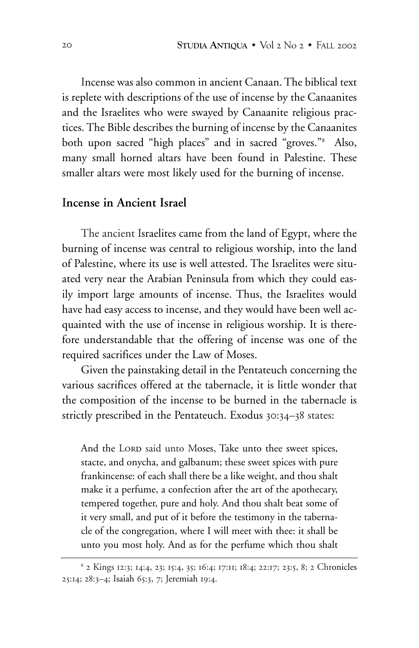Incense was also common in ancient Canaan. The biblical text is replete with descriptions of the use of incense by the Canaanites and the Israelites who were swayed by Canaanite religious practices. The Bible describes the burning of incense by the Canaanites both upon sacred "high places" and in sacred "groves."8 Also, many small horned altars have been found in Palestine. These smaller altars were most likely used for the burning of incense.

## **Incense in Ancient Israel**

The ancient Israelites came from the land of Egypt, where the burning of incense was central to religious worship, into the land of Palestine, where its use is well attested. The Israelites were situated very near the Arabian Peninsula from which they could easily import large amounts of incense. Thus, the Israelites would have had easy access to incense, and they would have been well acquainted with the use of incense in religious worship. It is therefore understandable that the offering of incense was one of the required sacrifices under the Law of Moses.

Given the painstaking detail in the Pentateuch concerning the various sacrifices offered at the tabernacle, it is little wonder that the composition of the incense to be burned in the tabernacle is strictly prescribed in the Pentateuch. Exodus 30:34–38 states:

And the LORD said unto Moses, Take unto thee sweet spices, stacte, and onycha, and galbanum; these sweet spices with pure frankincense: of each shall there be a like weight, and thou shalt make it a perfume, a confection after the art of the apothecary, tempered together, pure and holy. And thou shalt beat some of it very small, and put of it before the testimony in the tabernacle of the congregation, where I will meet with thee: it shall be unto you most holy. And as for the perfume which thou shalt

<sup>8</sup> 2 Kings 12:3; 14:4, 23; 15:4, 35; 16:4; 17:11; 18:4; 22:17; 23:5, 8; 2 Chronicles 25:14; 28:3–4; Isaiah 65:3, 7; Jeremiah 19:4.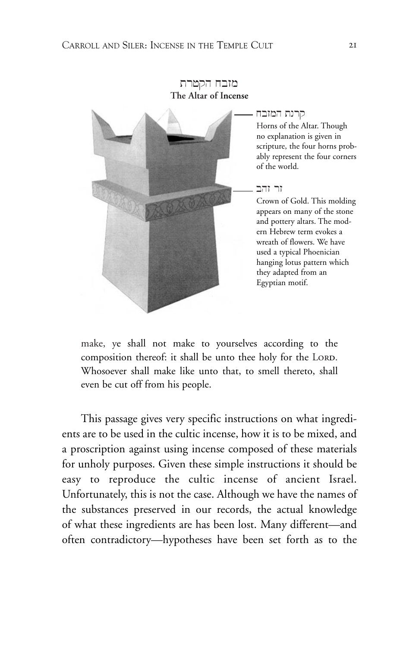#### מזבח הקטרת **The Altar of Incense**



#### קרנת המזבח

Horns of the Altar. Though no explanation is given in scripture, the four horns probably represent the four corners of the world.

#### $T$ זר זהב

Crown of Gold. This molding appears on many of the stone and pottery altars. The modern Hebrew term evokes a wreath of flowers. We have used a typical Phoenician hanging lotus pattern which they adapted from an Egyptian motif.

make, ye shall not make to yourselves according to the composition thereof: it shall be unto thee holy for the LORD. Whosoever shall make like unto that, to smell thereto, shall even be cut off from his people.

This passage gives very specific instructions on what ingredients are to be used in the cultic incense, how it is to be mixed, and a proscription against using incense composed of these materials for unholy purposes. Given these simple instructions it should be easy to reproduce the cultic incense of ancient Israel. Unfortunately, this is not the case. Although we have the names of the substances preserved in our records, the actual knowledge of what these ingredients are has been lost. Many different—and often contradictory—hypotheses have been set forth as to the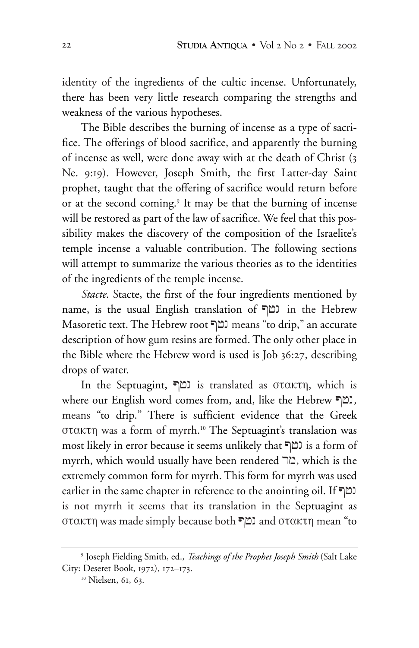identity of the ingredients of the cultic incense. Unfortunately, there has been very little research comparing the strengths and weakness of the various hypotheses.

The Bible describes the burning of incense as a type of sacrifice. The offerings of blood sacrifice, and apparently the burning of incense as well, were done away with at the death of Christ (3 Ne. 9:19). However, Joseph Smith, the first Latter-day Saint prophet, taught that the offering of sacrifice would return before or at the second coming.<sup>9</sup> It may be that the burning of incense will be restored as part of the law of sacrifice. We feel that this possibility makes the discovery of the composition of the Israelite's temple incense a valuable contribution. The following sections will attempt to summarize the various theories as to the identities of the ingredients of the temple incense.

*Stacte.* Stacte, the first of the four ingredients mentioned by name, is the usual English translation of נמף in the Hebrew Masoretic text. The Hebrew root נמף means "to drip," an accurate description of how gum resins are formed. The only other place in the Bible where the Hebrew word is used is Job 36:27, describing drops of water.

In the Septuagint,  $\Box$ is translated as στακτη, which is where our English word comes from, and, like the Hebrew P+n*,* means "to drip." There is sufficient evidence that the Greek στακτη was a form of myrrh.10 The Septuagint's translation was most likely in error because it seems unlikely that P+n is a form of myrrh, which would usually have been rendered " $\Box$ , which is the extremely common form for myrrh. This form for myrrh was used earlier in the same chapter in reference to the anointing oil. If  $\Box$ is not myrrh it seems that its translation in the Septuagint as στακτη was made simply because both  $\Box$ and στακτη mean "to

<sup>9</sup> Joseph Fielding Smith, ed., *Teachings of the Prophet Joseph Smith* (Salt Lake City: Deseret Book, 1972), 172–173.

<sup>&</sup>lt;sup>10</sup> Nielsen, 61, 63.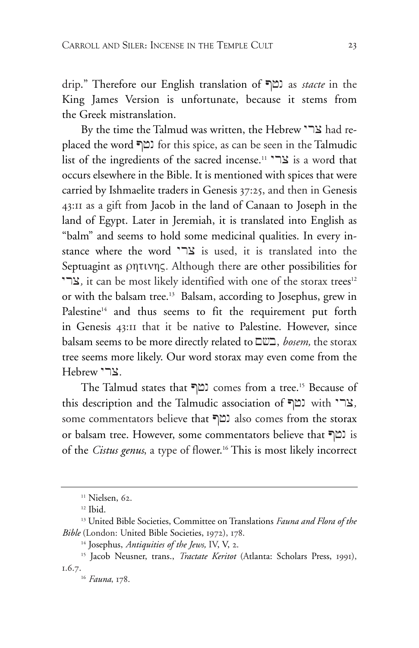drip." Therefore our English translation of P+n as *stacte* in the King James Version is unfortunate, because it stems from the Greek mistranslation.

By the time the Talmud was written, the Hebrew  $\sum$ אבר $\epsilon$  had replaced the word P+n for this spice, as can be seen in the Talmudic list of the ingredients of the sacred incense.<sup>11</sup> צר" is a word that occurs elsewhere in the Bible. It is mentioned with spices that were carried by Ishmaelite traders in Genesis 37:25, and then in Genesis 43:11 as a gift from Jacob in the land of Canaan to Joseph in the land of Egypt. Later in Jeremiah, it is translated into English as "balm" and seems to hold some medicinal qualities. In every instance where the word "בר is used, it is translated into the Septuagint as ρητινης*.* Although there are other possibilities for צרי, it can be most likely identified with one of the storax trees<sup>12</sup> or with the balsam tree.<sup>13</sup> Balsam, according to Josephus, grew in Palestine<sup>14</sup> and thus seems to fit the requirement put forth in Genesis 43:11 that it be native to Palestine. However, since balsam seems to be more directly related to M#b, *bosem,* the storax tree seems more likely. Our word storax may even come from the Hebrew "בר.

The Talmud states that <sup>[1]</sup> comes from a tree.<sup>15</sup> Because of this description and the Talmudic association of *ברי* with  $\cdot$ ר some commentators believe that P+n also comes from the storax or balsam tree. However, some commentators believe that P+n is of the *Cistus genus*, a type of flower.<sup>16</sup> This is most likely incorrect

<sup>&</sup>lt;sup>11</sup> Nielsen, 62.

<sup>12</sup> Ibid.

<sup>13</sup> United Bible Societies, Committee on Translations *Fauna and Flora of the Bible* (London: United Bible Societies, 1972), 178.

<sup>14</sup> Josephus, *Antiquities of the Jews,* IV, V, 2.

<sup>15</sup> Jacob Neusner, trans., *Tractate Keritot* (Atlanta: Scholars Press, 1991), 1.6.7.

<sup>16</sup> *Fauna*, 178.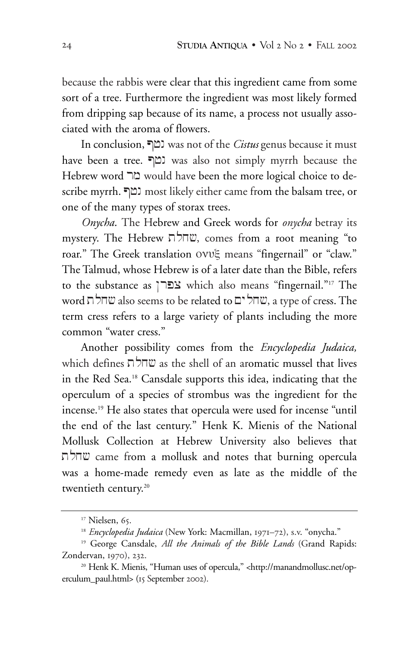because the rabbis were clear that this ingredient came from some sort of a tree. Furthermore the ingredient was most likely formed from dripping sap because of its name, a process not usually associated with the aroma of flowers.

In conclusion, P+n was not of the *Cistus* genus because it must have been a tree. שמף was also not simply myrrh because the Hebrew word בור would have been the more logical choice to describe myrrh. P+n most likely either came from the balsam tree, or one of the many types of storax trees.

*Onycha.* The Hebrew and Greek words for *onycha* betray its mystery. The Hebrew שחלת, comes from a root meaning "to roar." The Greek translation ονυξ means "fingernail" or "claw." The Talmud, whose Hebrew is of a later date than the Bible, refers to the substance as צפרן which also means "fingernail."<sup>17</sup> The  $\mathbf{w}$ word שחלת also seems to be related to שחל , a type of cress. The term cress refers to a large variety of plants including the more common "water cress."

Another possibility comes from the *Encyclopedia Judaica,* which defines  $\frac{1}{2}$  $\frac{1}{w}$  as the shell of an aromatic mussel that lives in the Red Sea.18 Cansdale supports this idea, indicating that the operculum of a species of strombus was the ingredient for the incense.19 He also states that opercula were used for incense "until the end of the last century." Henk K. Mienis of the National Mollusk Collection at Hebrew University also believes that שחלת came from a mollusk and notes that burning opercula was a home-made remedy even as late as the middle of the twentieth century.<sup>20</sup>

<sup>&</sup>lt;sup>17</sup> Nielsen, 65.

<sup>&</sup>lt;sup>18</sup> *Encyclopedia Judaica* (New York: Macmillan, 1971–72), s.v. "onycha."

<sup>19</sup> George Cansdale, *All the Animals of the Bible Lands* (Grand Rapids: Zondervan, 1970), 232.

<sup>&</sup>lt;sup>20</sup> Henk K. Mienis, "Human uses of opercula," <http://manandmollusc.net/operculum\_paul.html> (15 September 2002).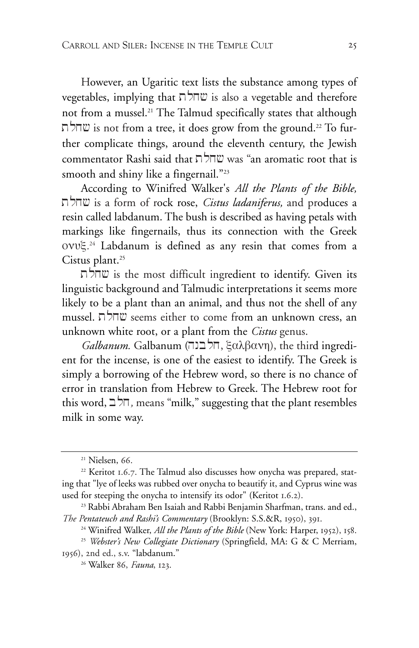However, an Ugaritic text lists the substance among types of vegetables, implying that  $\pi$  is also a vegetable and therefore not from a mussel.21 The Talmud specifically states that although נשחלת is not from a tree, it does grow from the ground.<sup>22</sup> To further complicate things, around the eleventh century, the Jewish commentator Rashi said that  $\nabla \times$  was "an aromatic root that is smooth and shiny like a fingernail."23

According to Winifred Walker's *All the Plants of the Bible,* tlx# is a form of rock rose, *Cistus ladaniferus,* and produces a resin called labdanum. The bush is described as having petals with markings like fingernails, thus its connection with the Greek ονυξ*.* <sup>24</sup> Labdanum is defined as any resin that comes from a Cistus plant.<sup>25</sup>

הלת is the most difficult ingredient to identify. Given its linguistic background and Talmudic interpretations it seems more likely to be a plant than an animal, and thus not the shell of any mussel. שחלה seems either to come from an unknown cress, an unknown white root, or a plant from the *Cistus* genus.

*Galbanum.* Galbanum (π) (π), ξαλβανη, the third ingredient for the incense, is one of the easiest to identify. The Greek is simply a borrowing of the Hebrew word, so there is no chance of error in translation from Hebrew to Greek. The Hebrew root for this word,  $\exists$ ר'ת, means "milk," suggesting that the plant resembles milk in some way.

<sup>&</sup>lt;sup>21</sup> Nielsen, 66.

 $22$  Keritot 1.6.7. The Talmud also discusses how onycha was prepared, stating that "lye of leeks was rubbed over onycha to beautify it, and Cyprus wine was used for steeping the onycha to intensify its odor" (Keritot 1.6.2).

<sup>23</sup> Rabbi Abraham Ben Isaiah and Rabbi Benjamin Sharfman, trans. and ed., *The Pentateuch and Rashi's Commentary* (Brooklyn: S.S.&R, 1950), 391.

<sup>24</sup> Winifred Walker, *All the Plants of the Bible* (New York: Harper, 1952), 158.

<sup>25</sup> *Webster's New Collegiate Dictionary* (Springfield, MA: G & C Merriam, 1956), 2nd ed., s.v. "labdanum."

<sup>26</sup> Walker 86, *Fauna*, 123.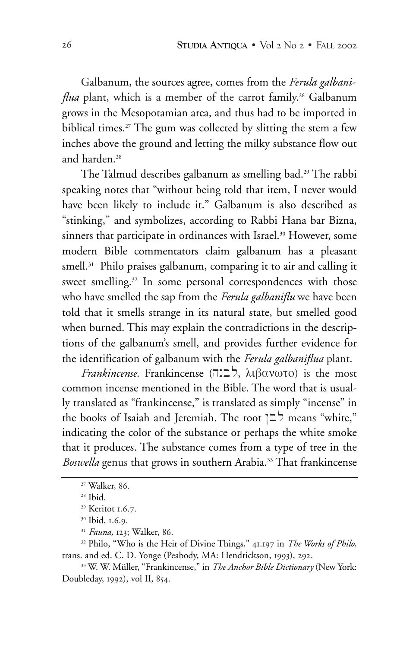Galbanum, the sources agree, comes from the *Ferula galbaniflua* plant, which is a member of the carrot family.<sup>26</sup> Galbanum grows in the Mesopotamian area, and thus had to be imported in biblical times.<sup>27</sup> The gum was collected by slitting the stem a few inches above the ground and letting the milky substance flow out and harden.<sup>28</sup>

The Talmud describes galbanum as smelling bad.29 The rabbi speaking notes that "without being told that item, I never would have been likely to include it." Galbanum is also described as "stinking," and symbolizes, according to Rabbi Hana bar Bizna, sinners that participate in ordinances with Israel.<sup>30</sup> However, some modern Bible commentators claim galbanum has a pleasant smell.<sup>31</sup> Philo praises galbanum, comparing it to air and calling it sweet smelling.<sup>32</sup> In some personal correspondences with those who have smelled the sap from the *Ferula galbaniflu* we have been told that it smells strange in its natural state, but smelled good when burned. This may explain the contradictions in the descriptions of the galbanum's smell, and provides further evidence for the identification of galbanum with the *Ferula galbaniflua* plant.

*Frankincense*. Frankincense ( $\Box$ לבנה), λιβανωτο) is the most common incense mentioned in the Bible. The word that is usually translated as "frankincense," is translated as simply "incense" in the books of Isaiah and Jeremiah. The root  $\exists$  means "white," indicating the color of the substance or perhaps the white smoke that it produces. The substance comes from a type of tree in the *Boswella* genus that grows in southern Arabia.33 That frankincense

<sup>27</sup> Walker, 86.

<sup>28</sup> Ibid.

<sup>29</sup> Keritot 1.6.7.

<sup>30</sup> Ibid, 1.6.9.

<sup>31</sup> *Fauna,* 123; Walker, 86.

<sup>32</sup> Philo, "Who is the Heir of Divine Things," 41.197 in *The Works of Philo*, trans. and ed. C. D. Yonge (Peabody, MA: Hendrickson, 1993), 292.

<sup>33</sup> W. W. Müller, "Frankincense," in *The Anchor Bible Dictionary* (New York: Doubleday, 1992), vol II, 854.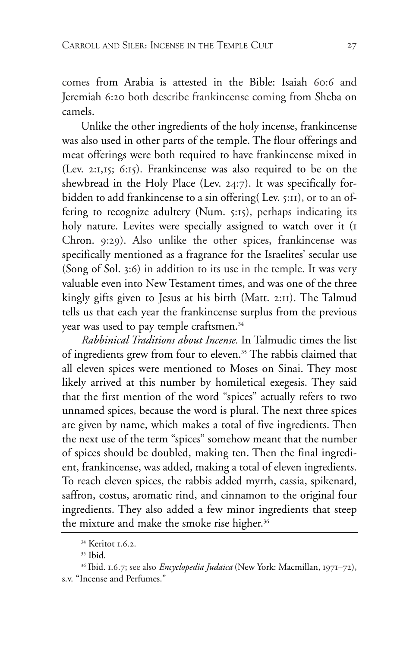comes from Arabia is attested in the Bible: Isaiah 60:6 and Jeremiah 6:20 both describe frankincense coming from Sheba on camels.

Unlike the other ingredients of the holy incense, frankincense was also used in other parts of the temple. The flour offerings and meat offerings were both required to have frankincense mixed in (Lev. 2:1,15; 6:15). Frankincense was also required to be on the shewbread in the Holy Place (Lev. 24:7). It was specifically forbidden to add frankincense to a sin offering( Lev. 5:11), or to an offering to recognize adultery (Num. 5:15), perhaps indicating its holy nature. Levites were specially assigned to watch over it (I Chron. 9:29). Also unlike the other spices, frankincense was specifically mentioned as a fragrance for the Israelites' secular use (Song of Sol. 3:6) in addition to its use in the temple. It was very valuable even into New Testament times, and was one of the three kingly gifts given to Jesus at his birth (Matt. 2:11). The Talmud tells us that each year the frankincense surplus from the previous year was used to pay temple craftsmen.<sup>34</sup>

*Rabbinical Traditions about Incense.* In Talmudic times the list of ingredients grew from four to eleven.<sup>35</sup> The rabbis claimed that all eleven spices were mentioned to Moses on Sinai. They most likely arrived at this number by homiletical exegesis. They said that the first mention of the word "spices" actually refers to two unnamed spices, because the word is plural. The next three spices are given by name, which makes a total of five ingredients. Then the next use of the term "spices" somehow meant that the number of spices should be doubled, making ten. Then the final ingredient, frankincense, was added, making a total of eleven ingredients. To reach eleven spices, the rabbis added myrrh, cassia, spikenard, saffron, costus, aromatic rind, and cinnamon to the original four ingredients. They also added a few minor ingredients that steep the mixture and make the smoke rise higher.<sup>36</sup>

<sup>34</sup> Keritot 1.6.2.

 $35$  Ibid.

<sup>36</sup> Ibid. 1.6.7; see also *Encyclopedia Judaica* (New York: Macmillan, 1971–72), s.v. "Incense and Perfumes."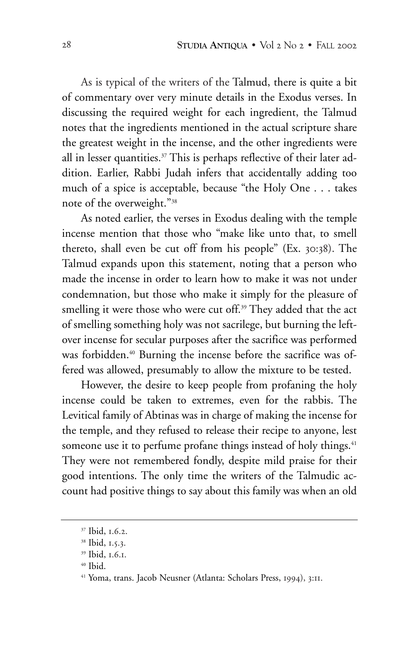As is typical of the writers of the Talmud, there is quite a bit of commentary over very minute details in the Exodus verses. In discussing the required weight for each ingredient, the Talmud notes that the ingredients mentioned in the actual scripture share the greatest weight in the incense, and the other ingredients were all in lesser quantities.<sup>37</sup> This is perhaps reflective of their later addition. Earlier, Rabbi Judah infers that accidentally adding too much of a spice is acceptable, because "the Holy One . . . takes note of the overweight."38

As noted earlier, the verses in Exodus dealing with the temple incense mention that those who "make like unto that, to smell thereto, shall even be cut off from his people" (Ex. 30:38). The Talmud expands upon this statement, noting that a person who made the incense in order to learn how to make it was not under condemnation, but those who make it simply for the pleasure of smelling it were those who were cut off.<sup>39</sup> They added that the act of smelling something holy was not sacrilege, but burning the leftover incense for secular purposes after the sacrifice was performed was forbidden.<sup>40</sup> Burning the incense before the sacrifice was offered was allowed, presumably to allow the mixture to be tested.

However, the desire to keep people from profaning the holy incense could be taken to extremes, even for the rabbis. The Levitical family of Abtinas was in charge of making the incense for the temple, and they refused to release their recipe to anyone, lest someone use it to perfume profane things instead of holy things.<sup>41</sup> They were not remembered fondly, despite mild praise for their good intentions. The only time the writers of the Talmudic account had positive things to say about this family was when an old

<sup>37</sup> Ibid, 1.6.2.

<sup>38</sup> Ibid, 1.5.3.

<sup>39</sup> Ibid, 1.6.1.

 $40$  Ibid.

<sup>41</sup> Yoma, trans. Jacob Neusner (Atlanta: Scholars Press, 1994), 3:11.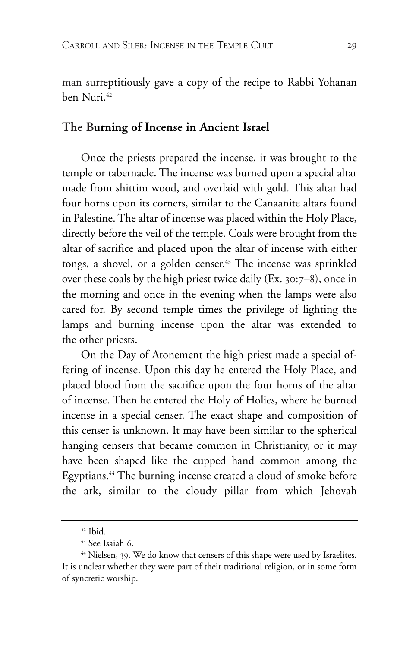man surreptitiously gave a copy of the recipe to Rabbi Yohanan ben Nuri.42

## **The Burning of Incense in Ancient Israel**

Once the priests prepared the incense, it was brought to the temple or tabernacle. The incense was burned upon a special altar made from shittim wood, and overlaid with gold. This altar had four horns upon its corners, similar to the Canaanite altars found in Palestine. The altar of incense was placed within the Holy Place, directly before the veil of the temple. Coals were brought from the altar of sacrifice and placed upon the altar of incense with either tongs, a shovel, or a golden censer.<sup>43</sup> The incense was sprinkled over these coals by the high priest twice daily (Ex. 30:7–8), once in the morning and once in the evening when the lamps were also cared for. By second temple times the privilege of lighting the lamps and burning incense upon the altar was extended to the other priests.

On the Day of Atonement the high priest made a special offering of incense. Upon this day he entered the Holy Place, and placed blood from the sacrifice upon the four horns of the altar of incense. Then he entered the Holy of Holies, where he burned incense in a special censer. The exact shape and composition of this censer is unknown. It may have been similar to the spherical hanging censers that became common in Christianity, or it may have been shaped like the cupped hand common among the Egyptians.<sup>44</sup> The burning incense created a cloud of smoke before the ark, similar to the cloudy pillar from which Jehovah

 $42$  Ibid.

<sup>43</sup> See Isaiah 6.

<sup>&</sup>lt;sup>44</sup> Nielsen, 39. We do know that censers of this shape were used by Israelites. It is unclear whether they were part of their traditional religion, or in some form of syncretic worship.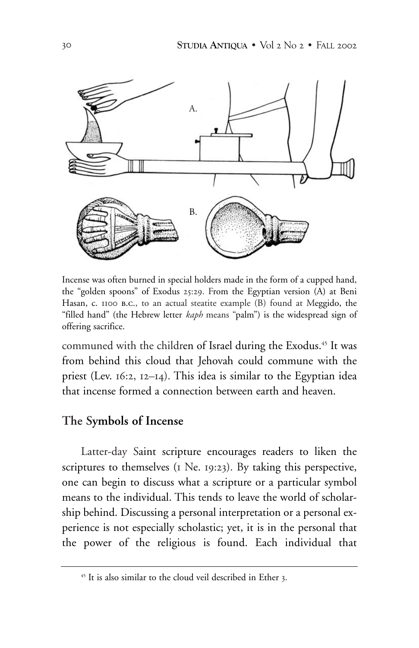

Incense was often burned in special holders made in the form of a cupped hand, the "golden spoons" of Exodus 25:29. From the Egyptian version (A) at Beni Hasan, c. 1100 b.c., to an actual steatite example (B) found at Meggido, the "filled hand" (the Hebrew letter *kaph* means "palm") is the widespread sign of offering sacrifice.

communed with the children of Israel during the Exodus.<sup>45</sup> It was from behind this cloud that Jehovah could commune with the priest (Lev. 16:2, 12–14). This idea is similar to the Egyptian idea that incense formed a connection between earth and heaven.

## **The Symbols of Incense**

Latter-day Saint scripture encourages readers to liken the scriptures to themselves (1 Ne. 19:23). By taking this perspective, one can begin to discuss what a scripture or a particular symbol means to the individual. This tends to leave the world of scholarship behind. Discussing a personal interpretation or a personal experience is not especially scholastic; yet, it is in the personal that the power of the religious is found. Each individual that

<sup>45</sup> It is also similar to the cloud veil described in Ether 3.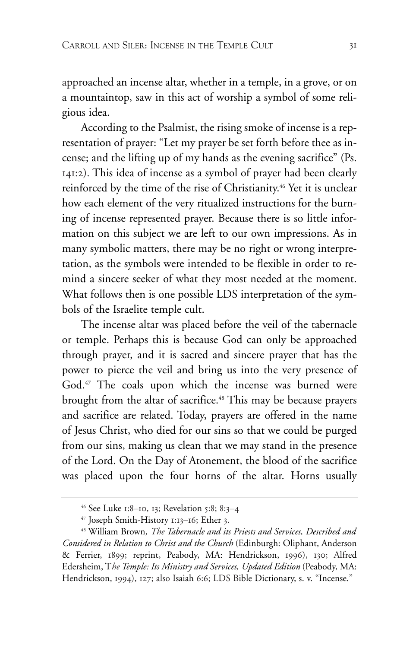approached an incense altar, whether in a temple, in a grove, or on a mountaintop, saw in this act of worship a symbol of some religious idea.

According to the Psalmist, the rising smoke of incense is a representation of prayer: "Let my prayer be set forth before thee as incense; and the lifting up of my hands as the evening sacrifice" (Ps. 141:2). This idea of incense as a symbol of prayer had been clearly reinforced by the time of the rise of Christianity.<sup>46</sup> Yet it is unclear how each element of the very ritualized instructions for the burning of incense represented prayer. Because there is so little information on this subject we are left to our own impressions. As in many symbolic matters, there may be no right or wrong interpretation, as the symbols were intended to be flexible in order to remind a sincere seeker of what they most needed at the moment. What follows then is one possible LDS interpretation of the symbols of the Israelite temple cult.

The incense altar was placed before the veil of the tabernacle or temple. Perhaps this is because God can only be approached through prayer, and it is sacred and sincere prayer that has the power to pierce the veil and bring us into the very presence of God.<sup>47</sup> The coals upon which the incense was burned were brought from the altar of sacrifice.<sup>48</sup> This may be because prayers and sacrifice are related. Today, prayers are offered in the name of Jesus Christ, who died for our sins so that we could be purged from our sins, making us clean that we may stand in the presence of the Lord. On the Day of Atonement, the blood of the sacrifice was placed upon the four horns of the altar. Horns usually

<sup>46</sup> See Luke 1:8–10, 13; Revelation 5:8; 8:3–4

<sup>47</sup> Joseph Smith-History 1:13–16; Ether 3.

<sup>48</sup> William Brown, *The Tabernacle and its Priests and Services, Described and Considered in Relation to Christ and the Church* (Edinburgh: Oliphant, Anderson & Ferrier, 1899; reprint, Peabody, MA: Hendrickson, 1996), 130; Alfred Edersheim, T*he Temple: Its Ministry and Services, Updated Edition* (Peabody, MA: Hendrickson, 1994), 127; also Isaiah 6:6; LDS Bible Dictionary, s. v. "Incense."